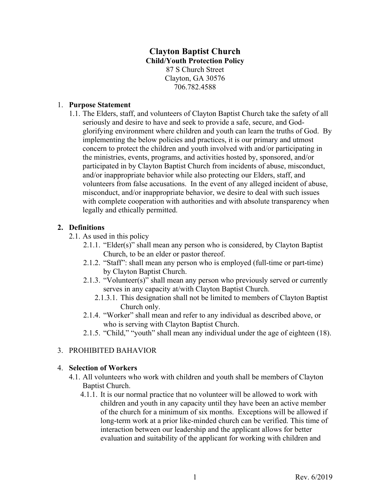# **Clayton Baptist Church Child/Youth Protection Policy** 87 S Church Street Clayton, GA 30576 706.782.4588

### 1. **Purpose Statement**

1.1. The Elders, staff, and volunteers of Clayton Baptist Church take the safety of all seriously and desire to have and seek to provide a safe, secure, and Godglorifying environment where children and youth can learn the truths of God. By implementing the below policies and practices, it is our primary and utmost concern to protect the children and youth involved with and/or participating in the ministries, events, programs, and activities hosted by, sponsored, and/or participated in by Clayton Baptist Church from incidents of abuse, misconduct, and/or inappropriate behavior while also protecting our Elders, staff, and volunteers from false accusations. In the event of any alleged incident of abuse, misconduct, and/or inappropriate behavior, we desire to deal with such issues with complete cooperation with authorities and with absolute transparency when legally and ethically permitted.

### **2. Definitions**

- 2.1. As used in this policy
	- 2.1.1. "Elder(s)" shall mean any person who is considered, by Clayton Baptist Church, to be an elder or pastor thereof.
	- 2.1.2. "Staff": shall mean any person who is employed (full-time or part-time) by Clayton Baptist Church.
	- 2.1.3. "Volunteer(s)" shall mean any person who previously served or currently serves in any capacity at/with Clayton Baptist Church.
		- 2.1.3.1. This designation shall not be limited to members of Clayton Baptist Church only.
	- 2.1.4. "Worker" shall mean and refer to any individual as described above, or who is serving with Clayton Baptist Church.
	- 2.1.5. "Child," "youth" shall mean any individual under the age of eighteen (18).

### 3. PROHIBITED BAHAVIOR

#### 4. **Selection of Workers**

- 4.1. All volunteers who work with children and youth shall be members of Clayton Baptist Church.
	- 4.1.1. It is our normal practice that no volunteer will be allowed to work with children and youth in any capacity until they have been an active member of the church for a minimum of six months.Exceptions will be allowed if long-term work at a prior like-minded church can be verified. This time of interaction between our leadership and the applicant allows for better evaluation and suitability of the applicant for working with children and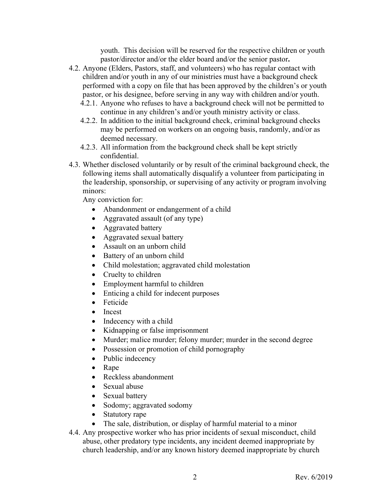youth. This decision will be reserved for the respective children or youth pastor/director and/or the elder board and/or the senior pastor**.**

- 4.2. Anyone (Elders, Pastors, staff, and volunteers) who has regular contact with children and/or youth in any of our ministries must have a background check performed with a copy on file that has been approved by the children's or youth pastor, or his designee, before serving in any way with children and/or youth.
	- 4.2.1. Anyone who refuses to have a background check will not be permitted to continue in any children's and/or youth ministry activity or class.
	- 4.2.2. In addition to the initial background check, criminal background checks may be performed on workers on an ongoing basis, randomly, and/or as deemed necessary.
	- 4.2.3. All information from the background check shall be kept strictly confidential.
- 4.3. Whether disclosed voluntarily or by result of the criminal background check, the following items shall automatically disqualify a volunteer from participating in the leadership, sponsorship, or supervising of any activity or program involving minors:

Any conviction for:

- Abandonment or endangerment of a child
- Aggravated assault (of any type)
- Aggravated battery
- Aggravated sexual battery
- Assault on an unborn child
- Battery of an unborn child
- Child molestation; aggravated child molestation
- Cruelty to children
- Employment harmful to children
- Enticing a child for indecent purposes
- Feticide
- Incest
- Indecency with a child
- Kidnapping or false imprisonment
- Murder; malice murder; felony murder; murder in the second degree
- Possession or promotion of child pornography
- Public indecency
- Rape
- Reckless abandonment
- Sexual abuse
- Sexual battery
- Sodomy; aggravated sodomy
- Statutory rape
- The sale, distribution, or display of harmful material to a minor
- 4.4. Any prospective worker who has prior incidents of sexual misconduct, child abuse, other predatory type incidents, any incident deemed inappropriate by church leadership, and/or any known history deemed inappropriate by church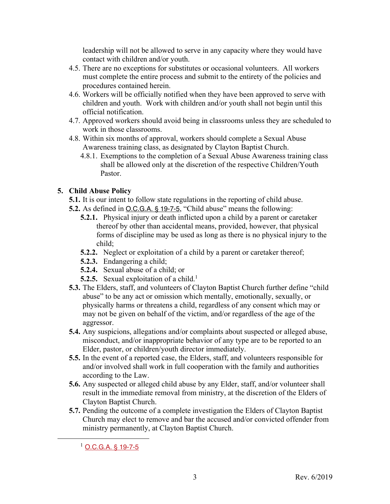leadership will not be allowed to serve in any capacity where they would have contact with children and/or youth.

- 4.5. There are no exceptions for substitutes or occasional volunteers. All workers must complete the entire process and submit to the entirety of the policies and procedures contained herein.
- 4.6. Workers will be officially notified when they have been approved to serve with children and youth. Work with children and/or youth shall not begin until this official notification.
- 4.7. Approved workers should avoid being in classrooms unless they are scheduled to work in those classrooms.
- 4.8. Within six months of approval, workers should complete a Sexual Abuse Awareness training class, as designated by Clayton Baptist Church.
	- 4.8.1. Exemptions to the completion of a Sexual Abuse Awareness training class shall be allowed only at the discretion of the respective Children/Youth Pastor.

## **5. Child Abuse Policy**

- **5.1.** It is our intent to follow state regulations in the reporting of child abuse.
- **5.2.** As defined in O.C.G.A. § 19-7-5, "Child abuse" means the following:
	- **5.2.1.** Physical injury or death inflicted upon a child by a parent or caretaker thereof by other than accidental means, provided, however, that physical forms of discipline may be used as long as there is no physical injury to the child;
	- **5.2.2.** Neglect or exploitation of a child by a parent or caretaker thereof;
	- **5.2.3.** Endangering a child;
	- **5.2.4.** Sexual abuse of a child; or
	- **5.2.5.** Sexual exploitation of a child.<sup>1</sup>
- **5.3.** The Elders, staff, and volunteers of Clayton Baptist Church further define "child abuse" to be any act or omission which mentally, emotionally, sexually, or physically harms or threatens a child, regardless of any consent which may or may not be given on behalf of the victim, and/or regardless of the age of the aggressor.
- **5.4.** Any suspicions, allegations and/or complaints about suspected or alleged abuse, misconduct, and/or inappropriate behavior of any type are to be reported to an Elder, pastor, or children/youth director immediately.
- **5.5.** In the event of a reported case, the Elders, staff, and volunteers responsible for and/or involved shall work in full cooperation with the family and authorities according to the Law.
- **5.6.** Any suspected or alleged child abuse by any Elder, staff, and/or volunteer shall result in the immediate removal from ministry, at the discretion of the Elders of Clayton Baptist Church.
- **5.7.** Pending the outcome of a complete investigation the Elders of Clayton Baptist Church may elect to remove and bar the accused and/or convicted offender from ministry permanently, at Clayton Baptist Church.

 $1$  O.C.G.A. § 19-7-5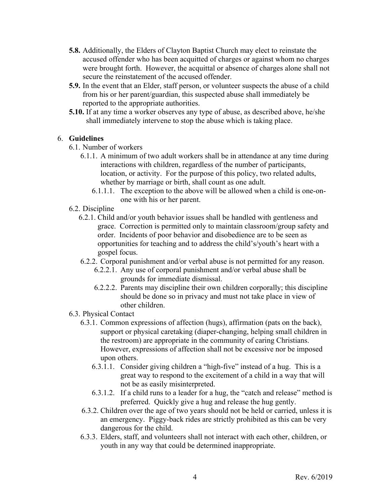- **5.8.** Additionally, the Elders of Clayton Baptist Church may elect to reinstate the accused offender who has been acquitted of charges or against whom no charges were brought forth.However, the acquittal or absence of charges alone shall not secure the reinstatement of the accused offender.
- **5.9.** In the event that an Elder, staff person, or volunteer suspects the abuse of a child from his or her parent/guardian, this suspected abuse shall immediately be reported to the appropriate authorities.
- **5.10.** If at any time a worker observes any type of abuse, as described above, he/she shall immediately intervene to stop the abuse which is taking place.

### 6. **Guidelines**

- 6.1. Number of workers
	- 6.1.1. A minimum of two adult workers shall be in attendance at any time during interactions with children, regardless of the number of participants, location, or activity. For the purpose of this policy, two related adults, whether by marriage or birth, shall count as one adult.
		- 6.1.1.1. The exception to the above will be allowed when a child is one-onone with his or her parent.
- 6.2. Discipline
	- 6.2.1. Child and/or youth behavior issues shall be handled with gentleness and grace. Correction is permitted only to maintain classroom/group safety and order. Incidents of poor behavior and disobedience are to be seen as opportunities for teaching and to address the child's/youth's heart with a gospel focus.
	- 6.2.2. Corporal punishment and/or verbal abuse is not permitted for any reason.
		- 6.2.2.1. Any use of corporal punishment and/or verbal abuse shall be grounds for immediate dismissal.
		- 6.2.2.2. Parents may discipline their own children corporally; this discipline should be done so in privacy and must not take place in view of other children.
- 6.3. Physical Contact
	- 6.3.1. Common expressions of affection (hugs), affirmation (pats on the back), support or physical caretaking (diaper-changing, helping small children in the restroom) are appropriate in the community of caring Christians. However, expressions of affection shall not be excessive nor be imposed upon others.
		- 6.3.1.1. Consider giving children a "high-five" instead of a hug. This is a great way to respond to the excitement of a child in a way that will not be as easily misinterpreted.
		- 6.3.1.2. If a child runs to a leader for a hug, the "catch and release" method is preferred. Quickly give a hug and release the hug gently.
	- 6.3.2. Children over the age of two years should not be held or carried, unless it is an emergency. Piggy-back rides are strictly prohibited as this can be very dangerous for the child.
	- 6.3.3. Elders, staff, and volunteers shall not interact with each other, children, or youth in any way that could be determined inappropriate.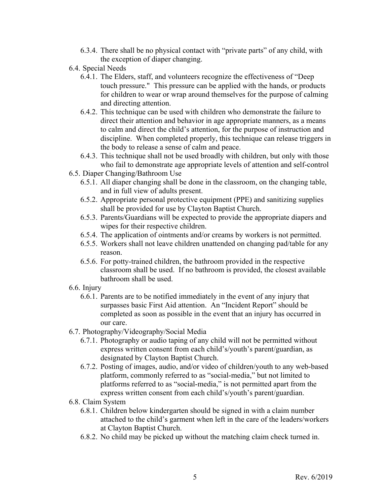- 6.3.4. There shall be no physical contact with "private parts" of any child, with the exception of diaper changing.
- 6.4. Special Needs
	- 6.4.1. The Elders, staff, and volunteers recognize the effectiveness of "Deep touch pressure." This pressure can be applied with the hands, or products for children to wear or wrap around themselves for the purpose of calming and directing attention.
	- 6.4.2. This technique can be used with children who demonstrate the failure to direct their attention and behavior in age appropriate manners, as a means to calm and direct the child's attention, for the purpose of instruction and discipline. When completed properly, this technique can release triggers in the body to release a sense of calm and peace.
	- 6.4.3. This technique shall not be used broadly with children, but only with those who fail to demonstrate age appropriate levels of attention and self-control
- 6.5. Diaper Changing/Bathroom Use
	- 6.5.1. All diaper changing shall be done in the classroom, on the changing table, and in full view of adults present.
	- 6.5.2. Appropriate personal protective equipment (PPE) and sanitizing supplies shall be provided for use by Clayton Baptist Church.
	- 6.5.3. Parents/Guardians will be expected to provide the appropriate diapers and wipes for their respective children.
	- 6.5.4. The application of ointments and/or creams by workers is not permitted.
	- 6.5.5. Workers shall not leave children unattended on changing pad/table for any reason.
	- 6.5.6. For potty-trained children, the bathroom provided in the respective classroom shall be used. If no bathroom is provided, the closest available bathroom shall be used.
- 6.6. Injury
	- 6.6.1. Parents are to be notified immediately in the event of any injury that surpasses basic First Aid attention. An "Incident Report" should be completed as soon as possible in the event that an injury has occurred in our care.
- 6.7. Photography/Videography/Social Media
	- 6.7.1. Photography or audio taping of any child will not be permitted without express written consent from each child's/youth's parent/guardian, as designated by Clayton Baptist Church.
	- 6.7.2. Posting of images, audio, and/or video of children/youth to any web-based platform, commonly referred to as "social-media," but not limited to platforms referred to as "social-media," is not permitted apart from the express written consent from each child's/youth's parent/guardian.
- 6.8. Claim System
	- 6.8.1. Children below kindergarten should be signed in with a claim number attached to the child's garment when left in the care of the leaders/workers at Clayton Baptist Church.
	- 6.8.2. No child may be picked up without the matching claim check turned in.